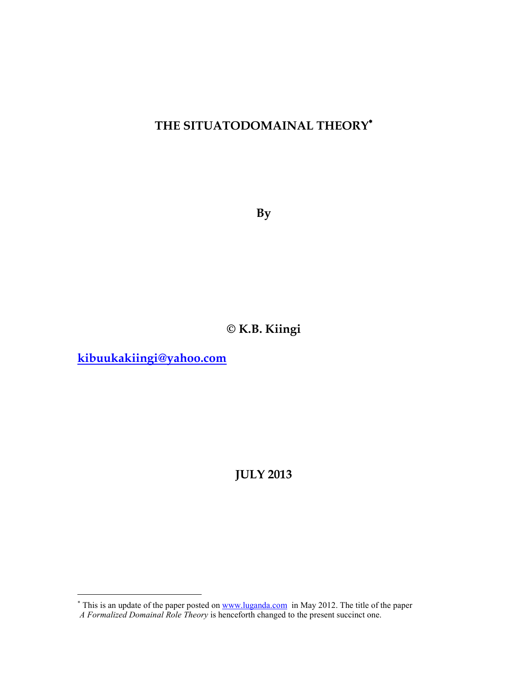## **THE SITUATODOMAINAL THEORY**<sup>∗</sup>

**By** 

# **© K.B. Kiingi**

**kibuukakiingi@yahoo.com**

**JULY 2013** 

This is an update of the paper posted on <u>www.luganda.com</u> in May 2012. The title of the paper *A Formalized Domainal Role Theory* is henceforth changed to the present succinct one.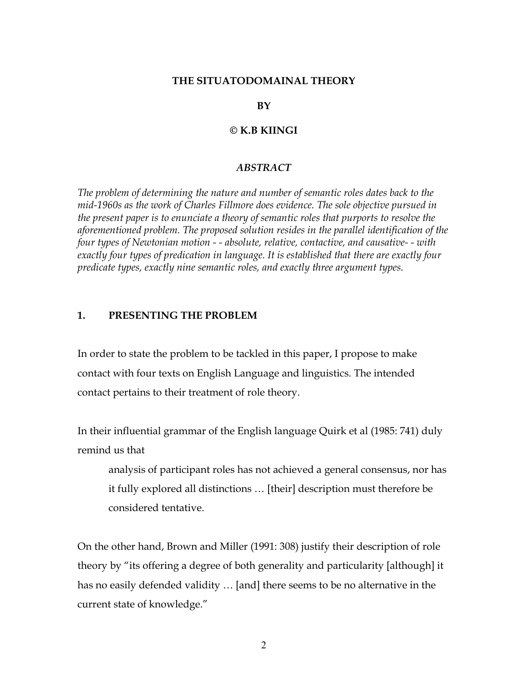#### **THE SITUATODOMAINAL THEORY**

**BY** 

#### **© K.B KIINGI**

#### *ABSTRACT*

*The problem of determining the nature and number of semantic roles dates back to the mid-1960s as the work of Charles Fillmore does evidence. The sole objective pursued in the present paper is to enunciate a theory of semantic roles that purports to resolve the aforementioned problem. The proposed solution resides in the parallel identification of the four types of Newtonian motion - - absolute, relative, contactive, and causative- - with exactly four types of predication in language. It is established that there are exactly four predicate types, exactly nine semantic roles, and exactly three argument types.* 

#### **1. PRESENTING THE PROBLEM**

In order to state the problem to be tackled in this paper, I propose to make contact with four texts on English Language and linguistics. The intended contact pertains to their treatment of role theory.

In their influential grammar of the English language Quirk et al (1985: 741) duly remind us that

analysis of participant roles has not achieved a general consensus, nor has it fully explored all distinctions … [their] description must therefore be considered tentative.

On the other hand, Brown and Miller (1991: 308) justify their description of role theory by "its offering a degree of both generality and particularity [although] it has no easily defended validity … [and] there seems to be no alternative in the current state of knowledge."

2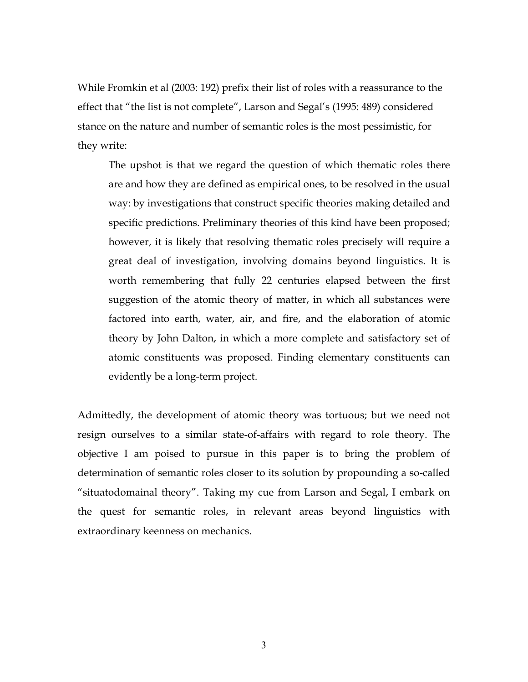While Fromkin et al (2003: 192) prefix their list of roles with a reassurance to the effect that "the list is not complete", Larson and Segal's (1995: 489) considered stance on the nature and number of semantic roles is the most pessimistic, for they write:

The upshot is that we regard the question of which thematic roles there are and how they are defined as empirical ones, to be resolved in the usual way: by investigations that construct specific theories making detailed and specific predictions. Preliminary theories of this kind have been proposed; however, it is likely that resolving thematic roles precisely will require a great deal of investigation, involving domains beyond linguistics. It is worth remembering that fully 22 centuries elapsed between the first suggestion of the atomic theory of matter, in which all substances were factored into earth, water, air, and fire, and the elaboration of atomic theory by John Dalton, in which a more complete and satisfactory set of atomic constituents was proposed. Finding elementary constituents can evidently be a long-term project.

Admittedly, the development of atomic theory was tortuous; but we need not resign ourselves to a similar state-of-affairs with regard to role theory. The objective I am poised to pursue in this paper is to bring the problem of determination of semantic roles closer to its solution by propounding a so-called "situatodomainal theory". Taking my cue from Larson and Segal, I embark on the quest for semantic roles, in relevant areas beyond linguistics with extraordinary keenness on mechanics.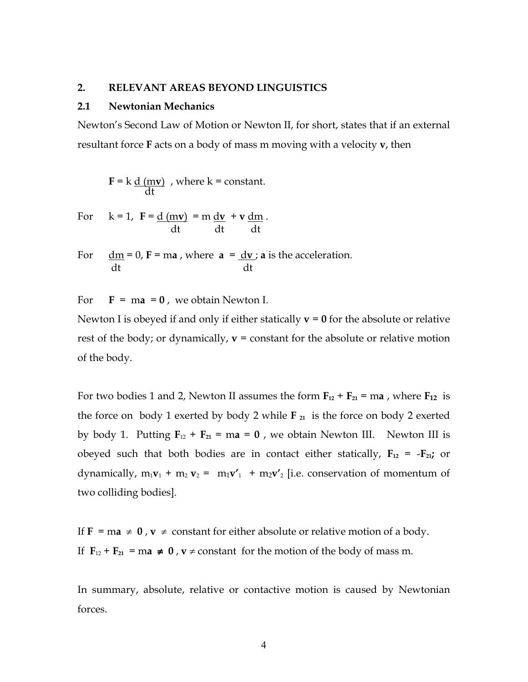#### **2. RELEVANT AREAS BEYOND LINGUISTICS**

#### **2.1 Newtonian Mechanics**

Newton's Second Law of Motion or Newton II, for short, states that if an external resultant force **F** acts on a body of mass m moving with a velocity **v**, then

**, where**  $k = constant$ **.** dt

For 
$$
k = 1
$$
,  $F = \frac{d (mv)}{dt} = m \frac{dv}{dt} + v \frac{dm}{dt}$ .

For  $\text{d}m = 0$ ,  $\text{F} = \text{ma}$ , where  $\text{a} = \text{d}\text{v}$ ;  $\text{a}$  is the acceleration. dt dt

For  $\mathbf{F} = \mathbf{ma} = \mathbf{0}$ , we obtain Newton I.

Newton I is obeyed if and only if either statically  $v = 0$  for the absolute or relative rest of the body; or dynamically,  $v = constant$  for the absolute or relative motion of the body.

For two bodies 1 and 2, Newton II assumes the form  $\mathbf{F}_{12} + \mathbf{F}_{21} = \mathbf{m}\mathbf{a}$ , where  $\mathbf{F}_{12}$  is the force on body 1 exerted by body 2 while  $\mathbf{F}_{21}$  is the force on body 2 exerted by body 1. Putting  $\mathbf{F}_{12} + \mathbf{F}_{21} = \mathbf{ma} = \mathbf{0}$ , we obtain Newton III. Newton III is obeyed such that both bodies are in contact either statically,  $F_{12} = -F_{21}$ ; or dynamically,  $m_1v_1 + m_2 v_2 = m_1v'_1 + m_2v'_2$  [i.e. conservation of momentum of two colliding bodies].

If **F** = ma  $\neq$  0, **v**  $\neq$  constant for either absolute or relative motion of a body. If  $\mathbf{F}_{12} + \mathbf{F}_{21} = \text{ma} \neq \mathbf{0}$ ,  $\mathbf{v} \neq \text{constant}$  for the motion of the body of mass m.

In summary, absolute, relative or contactive motion is caused by Newtonian forces.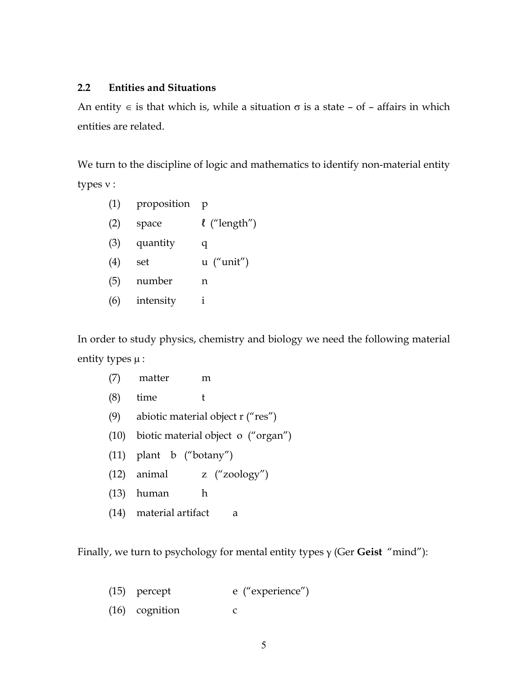## **2.2 Entities and Situations**

An entity  $\epsilon$  is that which is, while a situation  $\sigma$  is a state – of – affairs in which entities are related.

We turn to the discipline of logic and mathematics to identify non-material entity types ν :

| (1) | proposition | р                 |
|-----|-------------|-------------------|
| (2) | space       | $\ell$ ("length") |
| (3) | quantity    | q                 |
| (4) | set         | $u$ ("unit")      |
| (5) | number      | n                 |
| (6) | intensity   | i                 |
|     |             |                   |

In order to study physics, chemistry and biology we need the following material entity types  $\mu$  :

| (7) | matter                                 | m                                           |
|-----|----------------------------------------|---------------------------------------------|
| (8) | time<br>t                              |                                             |
|     | (9) abiotic material object $r("res")$ |                                             |
|     |                                        | $(10)$ biotic material object o $("organ")$ |
|     | $(11)$ plant b ("botany")              |                                             |
|     | $(12)$ animal                          | z $("zoology")$                             |
|     | $(13)$ human                           | h                                           |
|     | (14) material artifact                 | а                                           |

Finally, we turn to psychology for mental entity types γ (Ger **Geist** "mind"):

| $(15)$ percept   | e ("experience") |
|------------------|------------------|
| $(16)$ cognition |                  |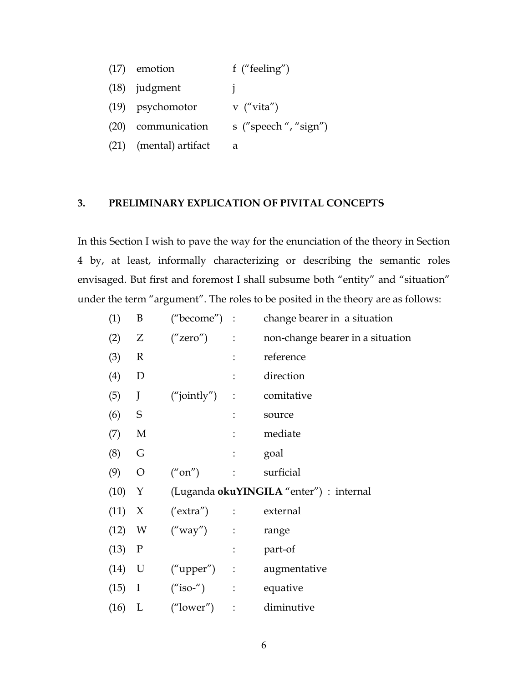| $(17)$ emotion         | f ("feeling")        |
|------------------------|----------------------|
| $(18)$ judgment        |                      |
| (19) psychomotor       | $v$ ("vita")         |
| (20) communication     | s ("speech", "sign") |
| (21) (mental) artifact | а                    |

#### **3. PRELIMINARY EXPLICATION OF PIVITAL CONCEPTS**

In this Section I wish to pave the way for the enunciation of the theory in Section 4 by, at least, informally characterizing or describing the semantic roles envisaged. But first and foremost I shall subsume both "entity" and "situation" under the term "argument". The roles to be posited in the theory are as follows:

| (1)      | B             | ("become") :           |                       | change bearer in a situation            |
|----------|---------------|------------------------|-----------------------|-----------------------------------------|
| (2)      | Z             | ("zero")<br>$\sim 100$ |                       | non-change bearer in a situation        |
| (3)      | R             |                        |                       | reference                               |
| (4)      | D             |                        | $\ddot{\phantom{a}}$  | direction                               |
| (5)      | J             | $("jointly")$ :        |                       | comitative                              |
| (6)      | $\mathbf S$   |                        | $\ddot{\cdot}$        | source                                  |
| (7)      | M             |                        | $\ddot{\cdot}$        | mediate                                 |
| (8)      | G             |                        | $\ddot{\cdot}$        | goal                                    |
| (9)      | $\mathcal{O}$ | ("on")                 | $\mathbb{C}^{\times}$ | surficial                               |
| (10)     | Y             |                        |                       | (Luganda okuYINGILA "enter") : internal |
| (11)     | X             | ('extra'') :           |                       | external                                |
| (12)     | W             | ("way")                | $\sim$ 1              | range                                   |
| (13)     | $\mathbf P$   |                        | $\vdots$              | part-of                                 |
| $(14)$ U |               | $("upper")$ :          |                       | augmentative                            |
| (15)     | $\bf{I}$      | $("iso-")$ :           |                       | equative                                |
| (16)     | L             | ("lower")              | $\ddot{\cdot}$        | diminutive                              |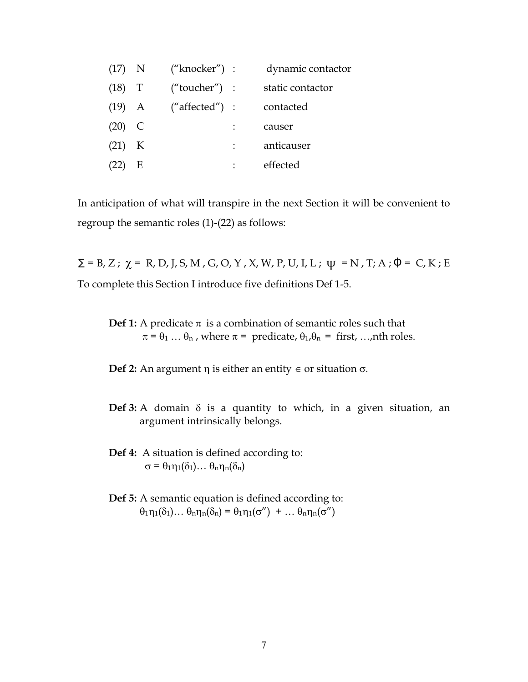| $(17)$ N |   | ("knocker") :  | dynamic contactor |
|----------|---|----------------|-------------------|
| $(18)$ T |   | ("toucher") :  | static contactor  |
| $(19)$ A |   | ("affected") : | contacted         |
| $(20)$ C |   |                | causer            |
| $(21)$ K |   |                | anticauser        |
| (22)     | Е |                | effected          |

In anticipation of what will transpire in the next Section it will be convenient to regroup the semantic roles (1)-(22) as follows:

 $\Sigma$  = B, Z; χ = R, D, J, S, M, G, O, Y, X, W, P, U, I, L; ψ = N, T; A; Φ = C, K; E To complete this Section I introduce five definitions Def 1-5.

**Def 1:** A predicate  $\pi$  is a combination of semantic roles such that  $\pi = \theta_1 \dots \theta_n$ , where  $\pi =$  predicate,  $\theta_1, \theta_n =$  first, ...,nth roles.

**Def 2:** An argument η is either an entity  $∈$  or situation  $σ$ .

- **Def 3:** A domain δ is a quantity to which, in a given situation, an argument intrinsically belongs.
- **Def 4:** A situation is defined according to:  $\sigma = \theta_1 \eta_1(\delta_1) \dots \theta_n \eta_n(\delta_n)$
- **Def 5:** A semantic equation is defined according to:  $\theta_1 \eta_1(\delta_1) \dots \theta_n \eta_n(\delta_n) = \theta_1 \eta_1(\sigma'') + \dots \theta_n \eta_n(\sigma'')$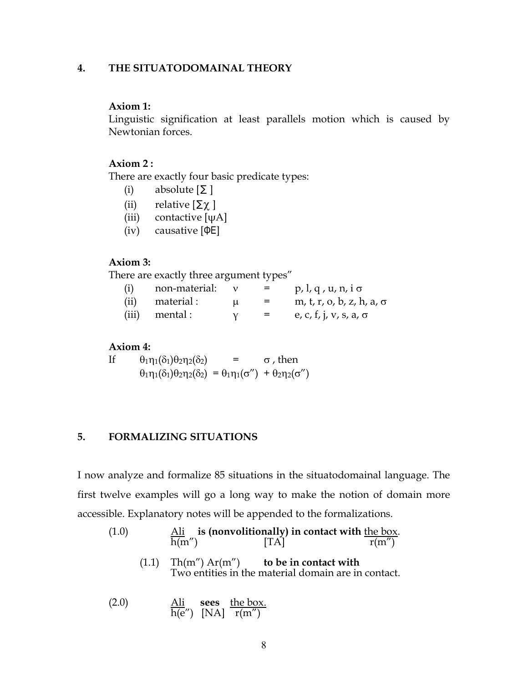## **4. THE SITUATODOMAINAL THEORY**

#### **Axiom 1:**

Linguistic signification at least parallels motion which is caused by Newtonian forces.

#### **Axiom 2 :**

There are exactly four basic predicate types:

- (i) absolute  $[\Sigma]$
- (ii) relative  $[\Sigma \chi]$
- (iii) contactive  $[\psi A]$
- (iv) causative [ΦE]

#### **Axiom 3:**

There are exactly three argument types"

| (i)  | non-material: |   |     | $p, l, q, u, n, i \sigma$        |
|------|---------------|---|-----|----------------------------------|
| (ii) | material :    | u | $=$ | m, t, r, o, b, z, h, a, $\sigma$ |
|      | (iii) mental: |   |     | e, c, f, j, v, s, a, $\sigma$    |

#### **Axiom 4:**

If  $\theta_1 \eta_1(\delta_1) \theta_2 \eta_2(\delta_2)$  =  $\sigma$ , then  $\theta_1$ η<sub>1</sub>(δ<sub>1</sub>) $\theta_2$ η<sub>2</sub>(δ<sub>2</sub>) =  $\theta_1$ η<sub>1</sub>(σ'') +  $\theta_2$ η<sub>2</sub>(σ'')

## **5. FORMALIZING SITUATIONS**

I now analyze and formalize 85 situations in the situatodomainal language. The first twelve examples will go a long way to make the notion of domain more accessible. Explanatory notes will be appended to the formalizations.

- (1.0) Ali **is (nonvolitionally) in contact with** the box. h(m'')  $[TA]$  r(m'') (1.1) Th(m") Ar(m") **to be in contact with** Two entities in the material domain are in contact.
- (2.0) Ali **sees** the box. h(e") [NA] r(m")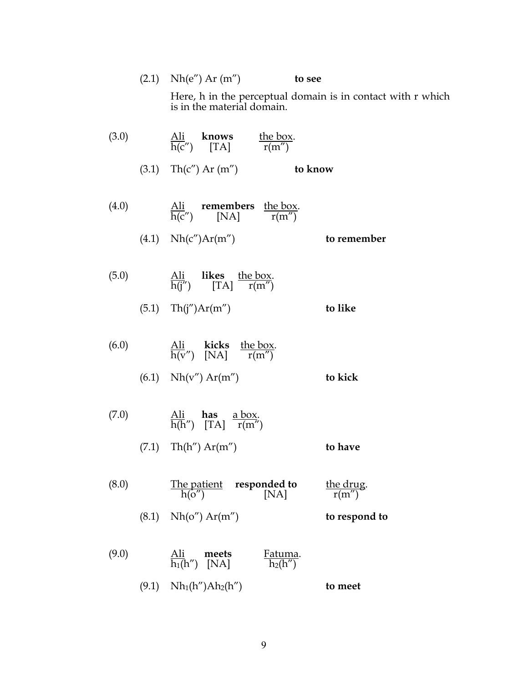|       | $(2.1)$ Nh(e") Ar (m")                                                                           | to see                                                      |
|-------|--------------------------------------------------------------------------------------------------|-------------------------------------------------------------|
|       | is in the material domain.                                                                       | Here, h in the perceptual domain is in contact with r which |
| (3.0) | $\frac{\text{Ali}}{\text{h}(c')}$ knows the box.<br>$r(m'')$                                     |                                                             |
|       | (3.1) $\text{Th}(c'') \text{ Ar } (m'')$ to know                                                 |                                                             |
| (4.0) | $\frac{\text{Ali}}{\text{h(c'')}}$ remembers the box.<br>$\frac{\text{Kh}}{\text{r(m'')}}$       |                                                             |
|       | $(4.1)$ Nh(c'')Ar(m'')                                                                           | to remember                                                 |
| (5.0) | $\frac{\text{Ali}}{\text{h}(i'')}$ likes the box.<br>[TA] $\frac{\text{the box}}{\text{r}(m'')}$ |                                                             |
|       | $(5.1)$ Th(j'')Ar(m'')                                                                           | to like                                                     |
| (6.0) | $\frac{\text{Ali}}{\text{h}(v'')}$ kicks the box.<br>$r(m'')$ [NA] $r(m'')$                      |                                                             |
|       | $(6.1)$ Nh(v") Ar(m")                                                                            | to kick                                                     |
| (7.0) | $\Delta$ is here above                                                                           |                                                             |

| (7.0) | All <b>nas</b> a box.<br>$h(h'')$ [TA] $r(m'')$ |         |
|-------|-------------------------------------------------|---------|
|       | $(7.1)$ Th(h'') Ar(m'')                         | to have |

| (8.0) | h(o'')                  | The patient <b>responded to</b><br>[NA] | the drug.<br>r(m'') |
|-------|-------------------------|-----------------------------------------|---------------------|
|       | $(8.1)$ Nh(o'') Ar(m'') |                                         | to respond to       |

| (9.0) | Ali<br>meets<br>$\overline{h_1(h'')}$ [NA]         | Fatuma.<br>$h_2(h'')$ |         |
|-------|----------------------------------------------------|-----------------------|---------|
|       | $(9.1)$ Nh <sub>1</sub> (h'')Ah <sub>2</sub> (h'') |                       | to meet |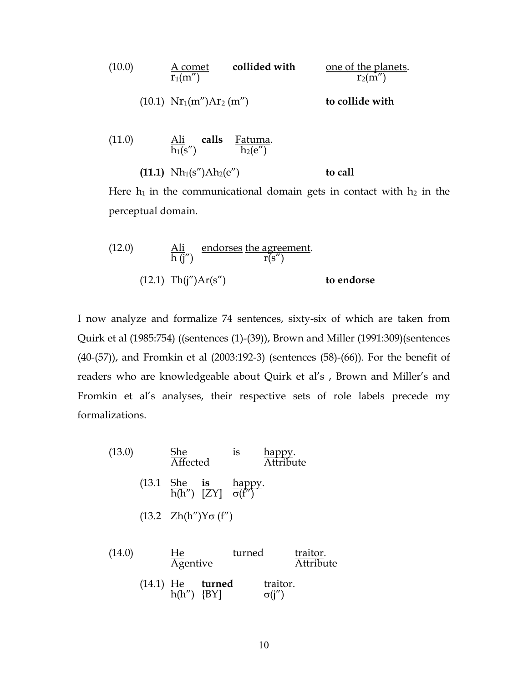(10.0) 
$$
\frac{A \text{ comet}}{r_1(m'')}
$$
 **collided with** one of the planets.  
\n(10.1)  $Nr_1(m'')Ar_2(m'')$  **to collide with**  
\n(11.0) Ali calls Fatuma.

$$
\frac{\ln n}{h_1(s'')}
$$
 and 
$$
\frac{\ln \tan n}{h_2(e'')}
$$

**(11.1)**  $Nh_1(s'')Ah_2(e'')$  **to call** 

Here  $h_1$  in the communicational domain gets in contact with  $h_2$  in the perceptual domain.

(12.0) 
$$
\frac{\text{Ali}}{\text{h (j'')}} \frac{\text{endorses the agreement}}{\text{r(s'')}}\text{to endorse}
$$

I now analyze and formalize 74 sentences, sixty-six of which are taken from Quirk et al (1985:754) ((sentences (1)-(39)), Brown and Miller (1991:309)(sentences (40-(57)), and Fromkin et al (2003:192-3) (sentences (58)-(66)). For the benefit of readers who are knowledgeable about Quirk et al's , Brown and Miller's and Fromkin et al's analyses, their respective sets of role labels precede my formalizations.

(13.0) She is happy.  
\nAffected  
\n(13.1 She is happy.  
\n
$$
h(h'') [ZY]
$$
  $\frac{happy}{\sigma(f')}$   
\n(13.2  $Zh(h'')Y\sigma(f'')$ 

(14.0) He turned traitor.  
Agentive 14.1 He turned traitor.  

$$
(14.1) \underbrace{He}_{h(h'')} \underbrace{turned}_{BY]} \underbrace{trainor}_{\sigma(j'')}
$$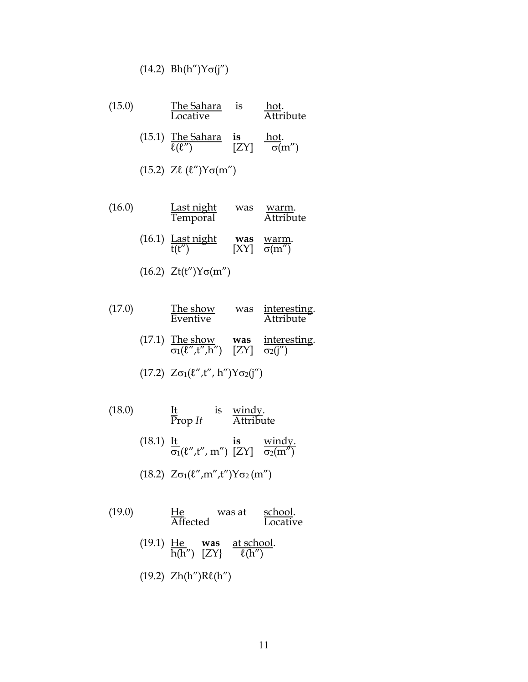$$
(14.2) Bh(h'')Y\sigma(j'')
$$

| (15.0) | The Sahara<br>Locative                                                                                         | 1S | hot.<br>Attribute |
|--------|----------------------------------------------------------------------------------------------------------------|----|-------------------|
|        | (15.1) The Sahara is $\frac{\text{nou}}{\sigma(m'')}$ $\frac{\text{nou}}{ZY}$ $\frac{\text{nou}}{\sigma(m'')}$ |    |                   |
|        | $(15.2)$ Zl $(\ell'')Y\sigma(m'')$                                                                             |    |                   |

- (16.0) Last night was <u>warm</u>. Temporal Attribute (16.1)  $\frac{\text{Last night}}{t(t'')}$ **was** <u>warm</u>.<br>[XY]  $\frac{\text{warm}}{\sigma(m'')}$ 
	- (16.2)  $Zt(t'')Y\sigma(m'')$

| (17.0) |  | The show<br>Eventive |  | was interesting.<br>Attribute |
|--------|--|----------------------|--|-------------------------------|
|        |  | $(17.1)$ The show    |  | was interesting.              |

 $\sigma_1(\ell'', t'', h'') \quad [ZY] \quad \sigma_2(j'')$ 

$$
(17.2) Z\sigma_1(\ell'',t'',h'')Y\sigma_2(j'')
$$

- $(18.0)$  It is windy. Prop *It* Attribute
	- (18.1) It **is** windy. σ $_1$ (ℓ",t", m") [ZY] σ $_2$ (m")
	- (18.2)  $Z\sigma_1(\ell'',m'',t'')Y\sigma_2(m'')$
- (19.0) He was at school.<br>Affected Locativ Locative
	- (19.1) He **was** at school. h(h")  $[ZY]$   $\ell$ (h")
	- (19.2) Zh(h")Rℓ(h")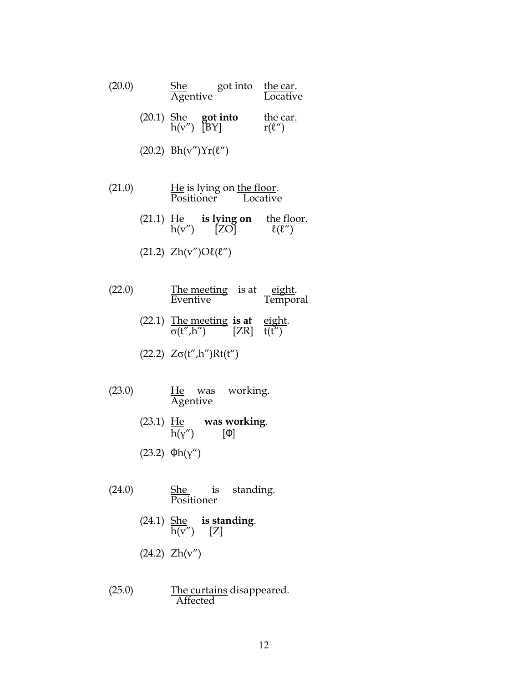| (20.0) | She got into the car.<br>Agentive Locative         |                         |
|--------|----------------------------------------------------|-------------------------|
|        | (20.1) $\frac{\text{She}}{\text{h}(v'')}$ got into | the car.<br>$r(\ell'')$ |
|        | $(20.2) Bh(v'')Yr(\ell'')$                         |                         |

- $(21.0)$  He is lying on the floor. Positioner Locative
	- $(21.1)$   $\underline{He}$  **is lying on** the floor.  $h(v'')$  [ZO]  $\ell(\ell'')$
	- (21.2)  $Zh(v'')O\ell(\ell'')$
- $(22.0)$  The meeting is at eight. Eventive Temporal
	- (22.1) The meeting **is at** eight. σ(t",h") [ZR] t(t")
	- (22.2)  $Z\sigma(t'',h'')Rt(t'')$
- $(23.0)$  He was working. Agentive
	- $(23.1)$   $\underline{He}$  **was working**. h(γ") [Φ]
	- (23.2) Φh(γ")
- $(24.0)$  She is standing. Positioner
	- (24.1) She **is standing**.  $h(v'')$  [Z]
	- (24.2) Zh(v")
- $(25.0)$  The curtains disappeared. Affected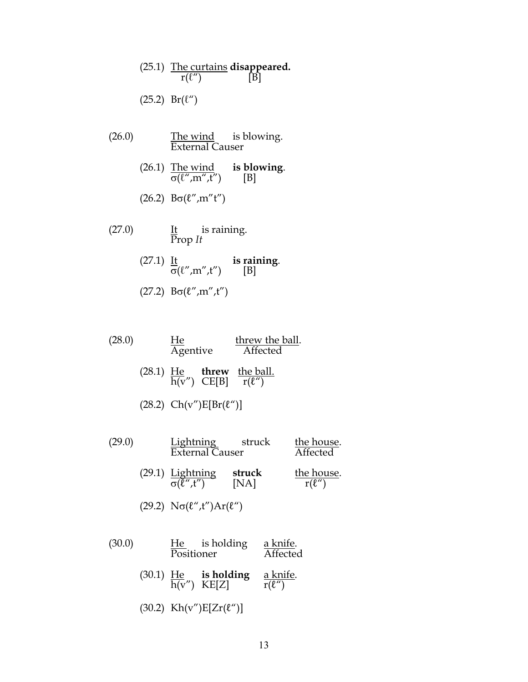- (25.1) The curtains **disappeared.**  $r(\ell'')$  [B]  $(25.2)$  Br $(\ell'')$
- (26.0) The wind is blowing. External Causer
	- (26.1) The wind **is blowing**.  $\sigma(\ell'', m'', t'')$  [B]
	- (26.2)  $B\sigma(\ell'', m''t'')$
- $(27.0)$  It is raining. Prop *It* 
	- $(27.1)$   $\underline{It}$  **is raining**.  $\sigma(\ell'', m'', t'')$  [B]
	- (27.2)  $B\sigma(\ell'', m'', t'')$

| (28.0) | He       | threw the ball. |
|--------|----------|-----------------|
|        | Agentive | Affected        |

- $(28.1)$   $\underline{He}$  **threw** the ball. h(v")  $CE[B]$  r( $\ell$ ")
- (28.2)  $Ch(v'')E[Br(\ell'')]$
- (29.0) Lightning struck the house. External Causer Affected (29.1) Lightning **struck** the house.  $\sigma(\tilde{\ell}^{\prime\prime},t^{\prime\prime})$  [NA]  $r(\ell^{\prime\prime})$ 
	- (29.2)  $N\sigma(\ell'',t'')Ar(\ell'')$
- (30.0)  $\frac{He}{Positioner}$  is holding a knife.<br> $\frac{A}{A}$  $\overline{\text{Positioner}}$ (30.1) He **is holding** a knife. h(v") KE[Z]  $r(\ell'')$ (30.2)  $Kh(v'')E[Zr(\ell'')]$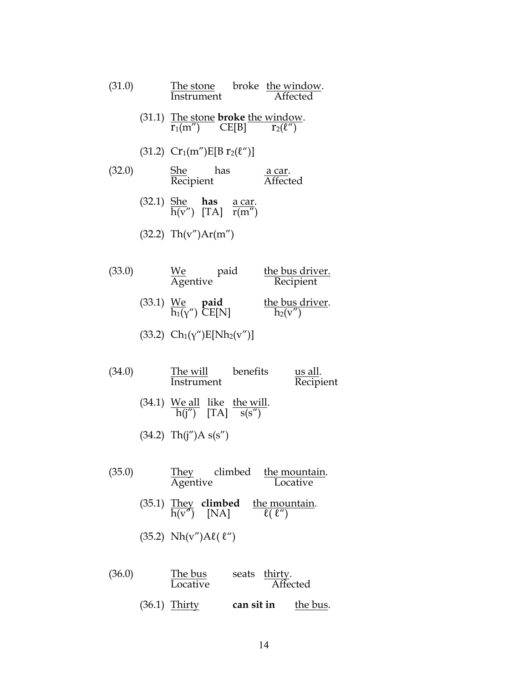| (31.0) | The stone broke the window.<br>Instrument Affected                                                           |                              |           |
|--------|--------------------------------------------------------------------------------------------------------------|------------------------------|-----------|
|        | (31.1) The stone <b>broke</b> the window.<br>$r_1(m'')$ CE[B] $r_2(\ell'')$                                  |                              |           |
|        | (31.2) $Cr_1(m'')E[Br_2(\ell'')]$                                                                            |                              |           |
| (32.0) | <u>She</u> has<br>Recipient                                                                                  | a car.<br>Affected           |           |
|        | (32.1) $\frac{\text{She}}{\text{h}(v'')}$ $\frac{\text{has}}{\text{TA}} \frac{\text{a car.}}{\text{r}(m'')}$ |                              |           |
|        | (32.2) Th(v")Ar(m")                                                                                          |                              |           |
| (33.0) | <u>We</u><br>Agentive                                                                                        | the bus driver.<br>Recipient |           |
|        | (33.1) We <b>paid</b> the bus driver.<br>$\frac{1}{h_1(v'')}$ CE[N] $\frac{1}{h_2(v'')}$                     |                              |           |
|        | (33.2) $Ch_1(\gamma'')E[Nh_2(\gamma'')]$                                                                     |                              |           |
| (34.0) | The will benefits<br>Instrument                                                                              | <u>us all</u> .              | Recipient |
|        | (34.1) <u>We all</u> like the will.<br>$\frac{h(i'')}{h(i'')}$ [TA] $\frac{h}{s(s'')}$                       |                              |           |
|        | $(34.2)$ Th(j")A s(s")                                                                                       |                              |           |
| (35.0) | They climbed the mountain.<br>Agentive Locative                                                              |                              |           |
|        | (35.1) They <b>climbed</b> the mountain.<br>$h(v'')$ [NA] $\qquad \frac{f(e \cdot w)}{f(v'')}$               |                              |           |

(35.2)  $Nh(v")A\ell(\ell'')$ 

| (36.0) | The bus<br>Locative | seats thirty. | <b>Affected</b> |
|--------|---------------------|---------------|-----------------|
|        | $(36.1)$ Thirty     | can sit in    | the bus.        |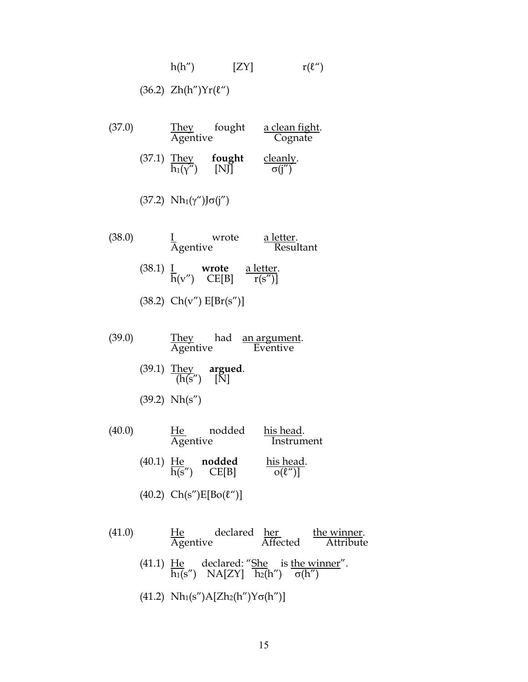$$
h(h'') \qquad [ZY] \qquad r(\ell'')
$$

## (36.2)  $Zh(h'')Yr(\ell'')$

| (37.0) | Agentive                            | They fought                                                              | <u>a clean fight</u> .<br>Cognate     |
|--------|-------------------------------------|--------------------------------------------------------------------------|---------------------------------------|
|        |                                     | (37.1) They <b>fought</b> $\frac{\text{They}}{\text{h}_1(\gamma'')}$ [N] | $\frac{\text{clearly.}}{\sigma(i'')}$ |
|        | $(37.2)$ Nh <sub>1</sub> (γ")Jσ(j") |                                                                          |                                       |
| (38.0) | $\frac{1}{\text{Agentive}}$         | wrote                                                                    | a letter.<br>Resultant                |
|        |                                     | (38.1) $\frac{I}{h(v'')}$ wrote a letter.                                |                                       |
|        |                                     | $(38.2)$ Ch(v") $E[Br(s'')]$                                             |                                       |

| (39.0) | Thev     | had | an argument. |
|--------|----------|-----|--------------|
|        | Agentive |     | Eventive     |

- (39.1) They **argued**.  $(h(s'') \quad [N])$
- (39.2) Nh(s")

| (40.0) |             | He<br>Agentive      | nodded          | his head.<br>Instrument  |
|--------|-------------|---------------------|-----------------|--------------------------|
|        | $(40.1)$ He | $\overline{h(s'')}$ | nodded<br>CE[B] | his head.<br>$o(\ell'')$ |

- (40.2)  $Ch(s'')E[Bo(\ell'')]$
- $(41.0)$  He declared her the winner. Agentive Affected Attribute
	- (41.1)  $He$  declared: "She is the winner".  $h_1(s'')$  NA[ZY]  $h_2(h'')$  σ(h'')
	- (41.2)  $Nh_1(s'')A[Zh_2(h'')Y\sigma(h'')]$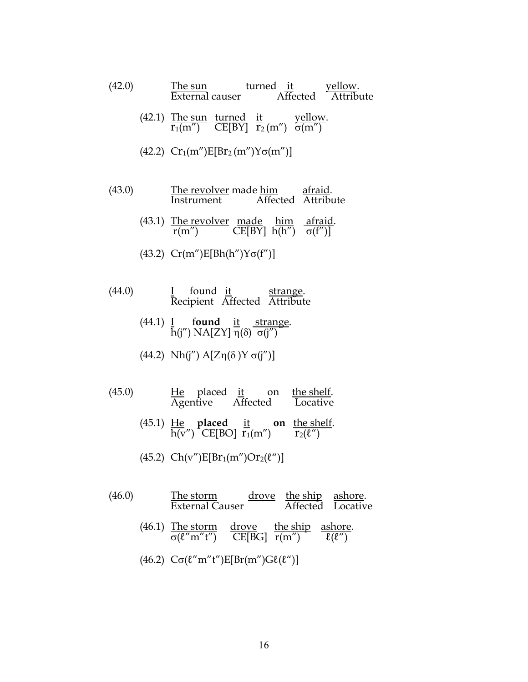| (42.0) |                                                                                |  | The sun turned it yellow.<br>External causer Affected Attribute |
|--------|--------------------------------------------------------------------------------|--|-----------------------------------------------------------------|
|        | (42.1) The sun turned it yellow.<br>$r_1(m'')$ CE[BY] $r_2(m'')$ $\sigma(m'')$ |  |                                                                 |
|        | (42.2) $Cr_1(m'')E[Br_2(m'')Y\sigma(m'')]$                                     |  |                                                                 |

- (43.0) The revolver made him afraid. Instrument Affected Attribute
	- (43.1) The revolver made him afraid. r(m'')  $CE[BY] h(h'') \sigma(f'')$
	- (43.2)  $Cr(m'')E[Bh(h'')Y\sigma(f'')]$
- $(44.0)$  I found it strange. Recipient Affected Attribute
	- (44.1) I f**ound** it strange. h(j")  $NA[ZY]$  η(δ) σ(j") $\bar{ }$
	- (44.2) Nh(j'')  $A[Z\eta(\delta)Y\sigma(j'')]$
- $(45.0)$  He placed <u>it</u> on <u>the shelf</u>. Agentive Affected Locative
	- (45.1) He **placed** it **on** the shelf.  $\overline{h(v'')}$  CE[BO]  $\overline{r_1}(m'') \qquad \overline{r_2(\ell'')}$
	- (45.2)  $Ch(v'')E[Br_1(m'')Or_2(\ell'')]$
- $(46.0)$  The storm drove the ship ashore. External Causer Affected Locative  $(46.1)$  The storm drove the ship ashore.  $\sigma(\ell''m''t'')$  CE[BG]  $r(m'')$   $\ell(\ell'')$ (46.2)  $C\sigma(\ell''m''t'')E[Br(m'')G\ell(\ell'')]$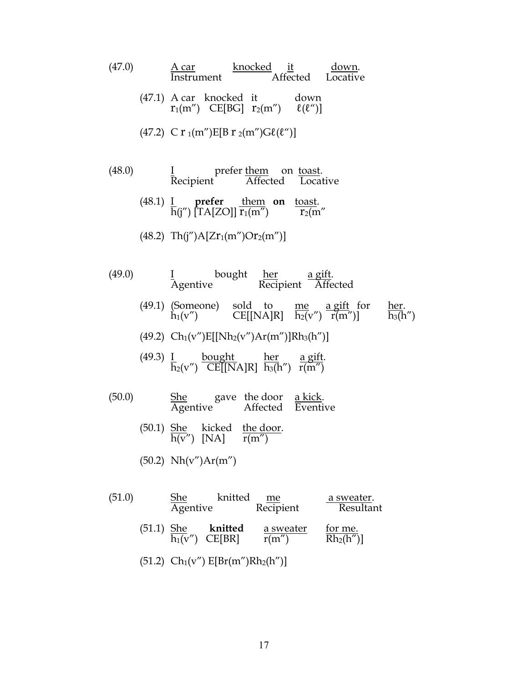| (47.0) | A car knocked it down.<br>Instrument Affected Locative                                                                                                                           |
|--------|----------------------------------------------------------------------------------------------------------------------------------------------------------------------------------|
|        | (47.1) A car knocked it down<br>$r_1(m'')$ CE[BG] $r_2(m'')$ $\ell(\ell'')$ ]                                                                                                    |
|        | (47.2) C r $_1(m'')E[B r_2(m'')G\ell(\ell'')]$                                                                                                                                   |
| (48.0) | I prefer them on toast.<br>Recipient Affected Locative                                                                                                                           |
|        | (48.1) $\frac{I}{h(i'')}$ prefer them on toast.<br>$\frac{I}{h(i'')}$ [TA[ZO]] $\frac{I}{r_1(m'')}$ on $\frac{toast}{r_2(m'')}$                                                  |
|        | (48.2) Th(j")A[Zr <sub>1</sub> (m")Or <sub>2</sub> (m")]                                                                                                                         |
| (49.0) | I bought <u>her</u> a gift.<br>Agentive Recipient Affected                                                                                                                       |
|        | (49.1) (Someone) sold to me a gift for her.<br>$h_1(v'')$ CE[[NA]R] $\frac{me}{h_2(v'')} \frac{a \text{ gift}}{r(m'')}$ ] $\frac{her}{h_3(h'')}$                                 |
|        | (49.2) $Ch_1(v'')E[[Nh_2(v'')Ar(m'')]Rh_3(h'')]$                                                                                                                                 |
|        | (49.3) $\frac{I}{h_2(v'')}$ bought her a gift.<br>CE[[NA]R] $\frac{her}{h_3(h'')}$ $\frac{a \text{ gift.}}{r(m'')}$                                                              |
| (50.0) | $\begin{tabular}{llll} \underline{\text{She}} & \text{gave} & \text{the door} & \underline{\text{a kick}}. \\ \text{Agentive} & \text{Affected} & \text{Eventive} \end{tabular}$ |
|        | (50.1) $\frac{\text{She}}{\text{h}(v'')}$ kicked the door.<br>[NA] $\frac{\text{the door}}{\text{r}(m'')}$                                                                       |
|        | $(50.2)$ Nh(v")Ar(m")                                                                                                                                                            |
| (51.0) | knitted<br>She<br><u>a sweater</u> .<br>me<br>Agentive<br>Recipient<br>Resultant                                                                                                 |

- (51.1) She **knitted** a sweater for me.  $h_1(v'')$  CE[BR]  $r(m'')$  Rh<sub>2</sub>(h'')]
- (51.2)  $Ch_1(v'') E[Br(m'')Rh_2(h'')]$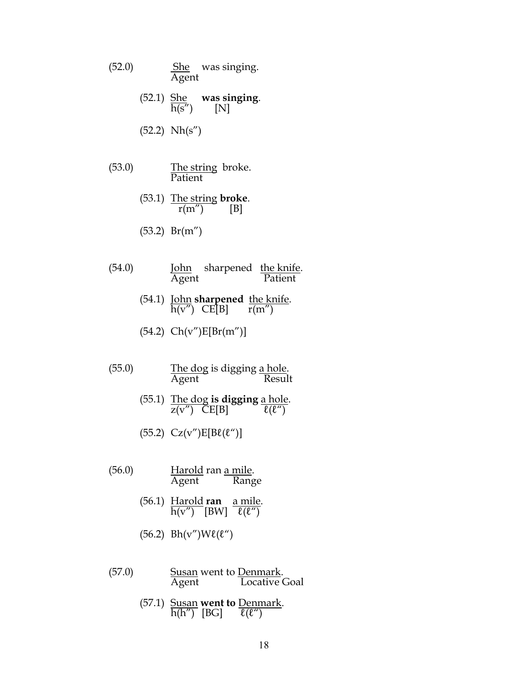- $(52.0)$  She was singing. Agent
	- (52.1)  $\frac{\text{She}}{\text{h(s')}}$  was singing.  $\overline{h(s'')}$
	- (52.2) Nh(s")
- $(53.0)$  The string broke. Patient
	- (53.1) The string **broke**.<br> $\frac{r(m'')}{[B]}$  $r(m'')$
	- (53.2) Br(m")
- (54.0) **John** sharpened <u>the knife</u>.<br>Agent **Patient** Patient
	- (54.1) John **sharpened** the knife. h(v")  $CE[B]$  r(m")
	- (54.2) Ch(v")E[Br(m")]
- (55.0) The dog is digging <u>a hole</u>.<br>Agent Result Agent
	- (55.1) <u>The dog</u> is digging <u>a hole</u>.<br> $\frac{z(v'')}{z(v'')}$  CE[B]  $z(v'')$  CE[B]
	- (55.2)  $Cz(v'')E[B\ell(\ell'')]$
- (56.0) **Harold ran <u>a mile</u>**.<br>Agent Range Agent
	- (56.1) Harold **ran** a mile.  $\overline{h(v'')}$  [BW]  $\overline{\ell(\ell'')}$
	- $(56.2)$  Bh(v")W $\ell(\ell'')$
- (57.0) Susan went to <u>Denmark</u>.<br>Agent Locative Locative Goal
	- (57.1) Susan **went to** Denmark. h(h")  $[BG]$   $\ell(\ell'')$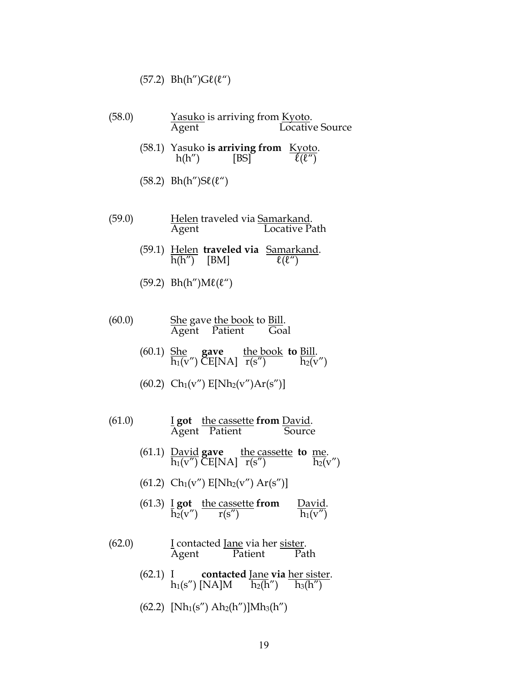#### $(57.2)$  Bh(h") $\text{G}\ell(\ell'')$

- (58.0) Yasuko is arriving from Kyoto.<br>Agent Locativ Locative Source (58.1) Yasuko **is arriving from** Kyoto.<br> $h(h'')$  [BS]  $\frac{E(y \circ h)}{E(E'')}$ 
	- $h(h'')$
	- $(58.2)$  Bh(h")S $\ell(\ell'')$
- (59.0) Helen traveled via <u>Samarkand</u>.<br>Agent **Locative Pa** Locative Path
	- (59.1) <u>Helen</u> **traveled via** <u>Samarkand</u>.<br> $\frac{\hbar(h'')}{\hbar(h'')}$  [BM]  $\frac{\ell(\ell'')}{\ell(\ell'')}$  $h(h'')$  [BM]
	- $(59.2)$  Bh(h")M $\ell(\ell'')$
- $(60.0)$  She gave the book to Bill. Agent Patient Goal
	- (60.1) She **gave** the book **to** Bill.  $h_1(v'')$  CE[NA]  $r(s'')$   $h_2(v'')$
	- $(60.2)$  Ch<sub>1</sub>(v'') E[Nh<sub>2</sub>(v'')Ar(s'')]
- (61.0) I **got** the cassette **from** David. Agent Patient
	- (61.1) <u>David</u> **gave** the cassette **to** <u>me</u>.<br> $\frac{\text{ln}(v'')}{\text{ln}(v'')}$  CE[NA]  $\frac{\text{ln}(s'')}{\text{ln}(s'')}$  $\overline{h_1(v'')}$  CE[NA]  $\overline{r(s'')}$
	- (61.2)  $Ch_1(v'')$   $E[Nh_2(v'')$   $Ar(s'')$ ]
	- (61.3) I **got** the cassette **from** David.  $h_2(v'') \qquad r(s'') \qquad h_1(v'')$
- (62.0) I contacted <u>Jane</u> via her <u>sister</u>.<br>Agent Patient Path Patient
	- (62.1) I **contacted** Jane **via** her sister.  $h_1(s'')$  [NA]M  $\overline{h_2(h'')}$   $\overline{h_3(h'')}$
	- $(62.2)$  [Nh<sub>1</sub>(s'') Ah<sub>2</sub>(h'')]Mh<sub>3</sub>(h'')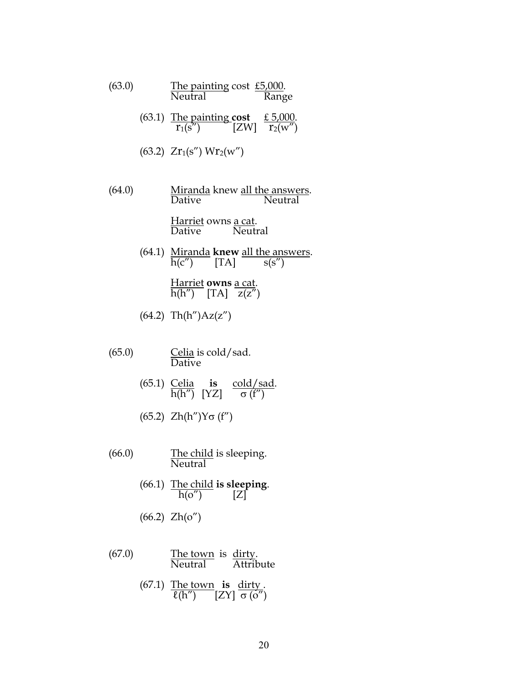| (63.0) | <u>The painting</u> cost £5,000.<br>Neutral<br>Range                                  |
|--------|---------------------------------------------------------------------------------------|
|        | (63.1) The painting cost $\frac{f(5,000)}{r_1(s'')}$ [ZW] $\frac{f(5,000)}{r_2(w'')}$ |
|        | $(63.2)$ Zr <sub>1</sub> (s'') Wr <sub>2</sub> (w'')                                  |
| (64.0) | Miranda knew all the answers.<br><b>Dative</b><br>Neutral                             |
|        | Harriet owns a cat.<br>Dative Neutral                                                 |
|        | (64.1) Miranda knew all the answers.<br>$\overline{h(c'')}$ [TA] $s(s'')$             |
|        |                                                                                       |

Harriet **owns** a cat. h(h")  $[TA]$   $z(z'')$ 

(64.2) Th(h")Az(z")

- $(65.0)$  Celia is cold/sad. Dative
	- (65.1) Celia **is** cold/sad. h(h")  $[YZ]$  σ (f")
	- (65.2) Zh(h")Yσ (f")
- $(66.0)$  The child is sleeping. Neutral
	- (66.1) The child **is sleeping**.  $h(o'')$  [Z]
	- (66.2) Zh(o")
- $(67.0)$  The town is dirty. Neutral Attribute
	- (67.1) The town **is** dirty .  $\ell(h'')$  [ZY]  $\sigma(o'')$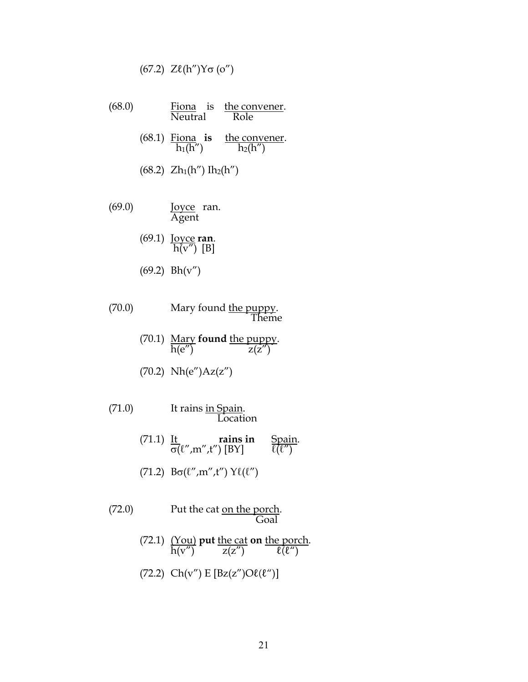$$
(67.2) Z\ell(h'')Y\sigma(o'')
$$

- (68.0) Fiona is the convener.<br>Neutral Role  $\overline{\text{Neutr}}$ 
	- (68.1)  $\frac{\text{Fiona}}{\text{h}_1(\text{h}'') }$  is the convener.<br> $h_2(h'')$
	- $(68.2)$  Zh<sub>1</sub>(h") Ih<sub>2</sub>(h")
- (69.0) **Joyce** ran. Agent
	- (69.1) Joyce **ran**.  $h(v'') [B]$
	- (69.2) Bh(v")
- (70.0) Mary found <u>the puppy</u>. Theme
	- (70.1) Mary **found** the puppy. h(e'')  $z(z'')$
	- (70.2) Nh(e")Az(z")
- (71.0) It rains <u>in Spain</u>. Location
	- $(71.1)$  It rains in Spain.  $\sigma(\ell'', m'', t'')$  [BY]  $\ell(\ell'')$
	- (71.2)  $B\sigma(\ell'', m'', t'')$   $Y\ell(\ell'')$
- (72.0) Put the cat <u>on the porch</u>. Goal
	- (72.1) (You) **put** the cat **on** the porch.  $h(v'')$   $z(z'')$   $\ell(\ell'')$
	- (72.2)  $Ch(v'') E [Bz(z'')O\ell(\ell'')]$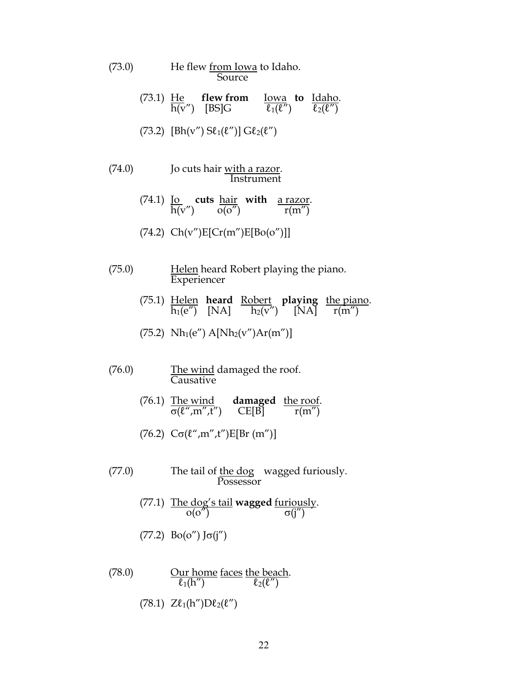- (73.0) He flew from Iowa to Idaho. Source
	- (73.1) He **flew from** Iowa **to** Idaho.  $h(v'')$  [BS]G  $\ell_1(\ell'')$   $\ell_2(\ell'')$
	- (73.2)  $[Bh(v'') S\ell_1(\ell'')] G\ell_2(\ell'')$
- (74.0) Jo cuts hair <u>with a razor</u>. Instrument
	- (74.1) Jo **cuts** hair **with** a razor. h(v")  $o(o'')$  r(m")
	- $(74.2)$  Ch(v")E[Cr(m")E[Bo(o")]]
- (75.0) Helen heard Robert playing the piano. Experiencer
	- (75.1) Helen **heard** Robert **playing** the piano.  $h_1(e'')$  [NA]  $h_2(v'')$  [NA]  $r(m'')$
	- (75.2)  $Nh_1(e'') \, A[Nh_2(v'')Ar(m'')]$
- $(76.0)$  The wind damaged the roof. Causative
	- (76.1) The wind **damaged** the roof.  $\sigma(\ell'', m'', t'')$  CE[B]  $r(m'')$
	- (76.2)  $C\sigma(\ell'', m'', t'')E[Br(m'')]$
- (77.0) The tail of <u>the do</u>g wagged furiously. Possessor
	- (77.1) The dog's tail **wagged** furiously.  $o(o'')$  σ(j'')
	- (77.2)  $Bo(o'')$   $J\sigma(j'')$
- (78.0) Our home faces the beach.  $\ell_1(h'')$   $\ell_2(\ell'')$ (78.1)  $Z\ell_1(h'')D\ell_2(\ell'')$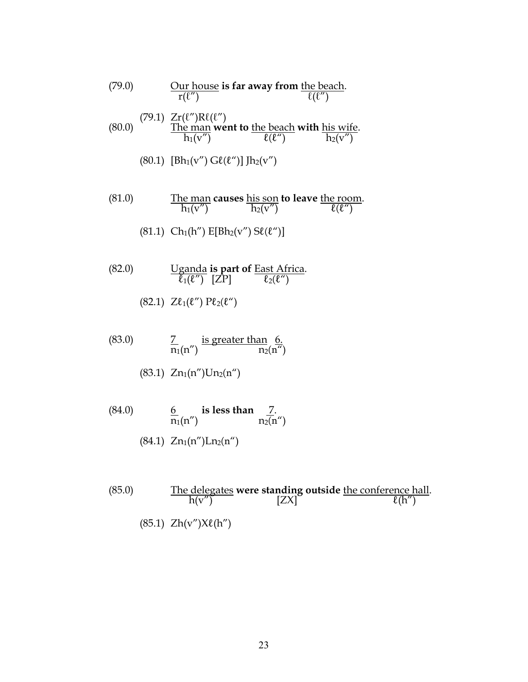(79.0) Our house is far away from the beach.  
\n
$$
r(\ell'') \qquad \frac{\text{Our house}}{r(\ell'')} = \frac{r(\ell'')R\ell(\ell'')}{r(\ell'')}
$$
\n(80.0) The man went to the beach with his wife.  
\n
$$
h_1(v'') \qquad \frac{\ell(\ell'')}{\ell(\ell'')} = \frac{r(\ell'')}{r(\ell'')}.
$$
\n(80.1) 
$$
[Bh_1(v'') G\ell(\ell'')] Jh_2(v'')
$$

(81.0) The man causes his son to leave the room.  
\n
$$
\frac{\text{The man causes his son to leave the room.}}{h_1(v'')}
$$

$$
(81.1) Ch1(h'') E[Bh2(v'') S\ell(\ell'')]
$$

- (82.0) Uganda **is part of** East Africa.  $\overline{\ell}_1(\ell'')$  [ZP]  $\ell_2(\ell'')$ 
	- (82.1)  $Z\ell_1(\ell'') P\ell_2(\ell'')$
- $(83.0)$   $\qquad \qquad \frac{7}{2}$  is greater than 6.  $n_1(n'')$   $n_2(n'')$ 
	- $(83.1)$  Zn<sub>1</sub>(n'')Un<sub>2</sub>(n'')
- (84.0) 6 is less than <u>7</u>.  $n_1(n'')$   $n_2(n'')$ 
	- $(84.1)$  Zn<sub>1</sub>(n'')Ln<sub>2</sub>(n'')
- (85.0) The delegates **were standing outside** the conference hall.  $h(v'')$  [ZX]  $\ell(h'')$  $(85.1)$  Zh(v") $X\ell(h'')$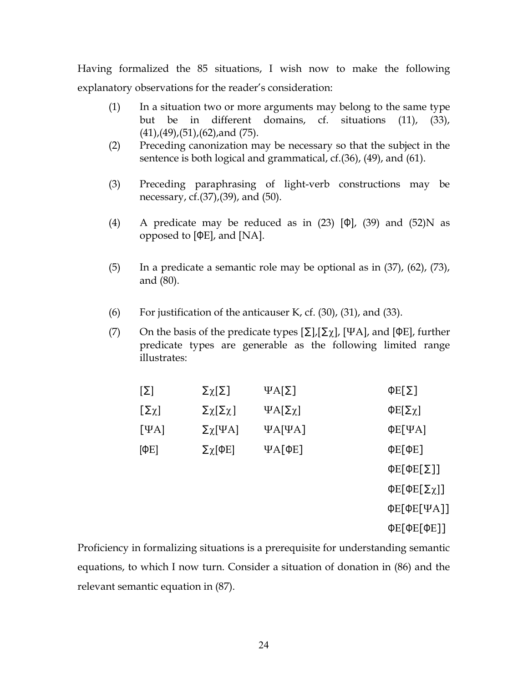Having formalized the 85 situations, I wish now to make the following explanatory observations for the reader's consideration:

- (1) In a situation two or more arguments may belong to the same type but be in different domains, cf. situations (11), (33),  $(41)$ , $(49)$ , $(51)$ , $(62)$ ,and  $(75)$ .
- (2) Preceding canonization may be necessary so that the subject in the sentence is both logical and grammatical, cf.(36), (49), and (61).
- (3) Preceding paraphrasing of light-verb constructions may be necessary, cf.(37),(39), and (50).
- (4) A predicate may be reduced as in  $(23)$  [Φ],  $(39)$  and  $(52)$ N as opposed to [ΦE], and [NA].
- (5) In a predicate a semantic role may be optional as in (37), (62), (73), and (80).
- (6) For justification of the anticauser K, cf. (30), (31), and (33).
- (7) On the basis of the predicate types  $[\Sigma], [\Sigma_{\chi}]$ , [ΨA], and [ΦE], further predicate types are generable as the following limited range illustrates:

| $[\Sigma]$      | Σχ[Σ]              | $\Psi A[\Sigma]$      | $\Phi E[\Sigma]$         |
|-----------------|--------------------|-----------------------|--------------------------|
| $[\Sigma \chi]$ | Σχ[Σχ]             | $\Psi A[\Sigma \chi]$ | ΦE[Σχ]                   |
| $[\Psi A]$      | $\Sigma \chi$ [ΨA] | $\Psi$ A[ $\Psi$ A]   | $\Phi E[\Psi A]$         |
| $[$ $\Phi$ E]   | Σχ[ΦΕ]             | $\Psi$ A[ $\Phi$ E]   | $\Phi E[\Phi E]$         |
|                 |                    |                       | $\Phi E[\Phi E[\Sigma]]$ |
|                 |                    |                       | $ΦE[ΦE[\Sigma_λ]]$       |
|                 |                    |                       | $\Phi E[\Phi E[\Psi A]]$ |
|                 |                    |                       | $\Phi E[\Phi E[\Phi E]]$ |

Proficiency in formalizing situations is a prerequisite for understanding semantic equations, to which I now turn. Consider a situation of donation in (86) and the relevant semantic equation in (87).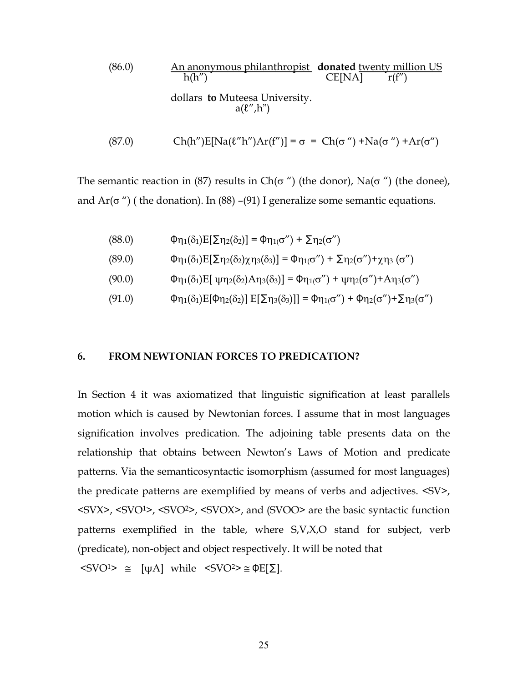(86.0) An anonymous philanthropist **donated** twenty million US CE[NA] 
$$
r(f'')
$$
  
dollars **to** Muteesa University.  
 $a(l'',h'')$ 

$$
(87.0) \quad \text{Ch(h'')E[Na(\ell''h'')Ar(f'')]} = \sigma = \text{Ch}(\sigma'') + \text{Na}(\sigma'') + \text{Ar}(\sigma'')
$$

The semantic reaction in (87) results in Ch( $\sigma$ ") (the donor), Na( $\sigma$ ") (the donee), and  $Ar(\sigma'')$  (the donation). In (88) –(91) I generalize some semantic equations.

(88.0) 
$$
\Phi_{\eta_1}(\delta_1)E[\Sigma_{\eta_2}(\delta_2)] = \Phi_{\eta_1(\sigma'')} + \Sigma_{\eta_2(\sigma'')}
$$

$$
\Phi_{\eta_1}(\delta_1)E[\Sigma_{\eta_2}(\delta_2)\chi_{\eta_3}(\delta_3)] = \Phi_{\eta_1(\sigma'')} + \Sigma_{\eta_2(\sigma'')} + \chi_{\eta_3}(\sigma'')
$$

- (90.0)  $\Phi_{\eta_1(\delta_1)E}[\psi_{\eta_2(\delta_2)A\eta_3(\delta_3)}] = \Phi_{\eta_1(\sigma'')} + \psi_{\eta_2(\sigma'')} + A_{\eta_3(\sigma'')}$
- (91.0)  $\Phi_{\eta_1}(\delta_1)E[\Phi_{\eta_2}(\delta_2)]E[\Sigma_{\eta_3}(\delta_3)]] = \Phi_{\eta_1(\sigma'')} + \Phi_{\eta_2(\sigma'')} + \Sigma_{\eta_3(\sigma'')}$

#### **6. FROM NEWTONIAN FORCES TO PREDICATION?**

In Section 4 it was axiomatized that linguistic signification at least parallels motion which is caused by Newtonian forces. I assume that in most languages signification involves predication. The adjoining table presents data on the relationship that obtains between Newton's Laws of Motion and predicate patterns. Via the semanticosyntactic isomorphism (assumed for most languages) the predicate patterns are exemplified by means of verbs and adjectives. <SV>, <SVX>, <SVO<sup>1</sup>>, <SVO<sup>2</sup>>, <SVOX>, and (SVOO> are the basic syntactic function patterns exemplified in the table, where S,V,X,O stand for subject, verb (predicate), non-object and object respectively. It will be noted that  $\langle$ SVO<sup>1</sup>>  $\cong$  [ψA] while  $\langle$ SVO<sup>2</sup>> $\cong$  ΦE[ $\Sigma$ ].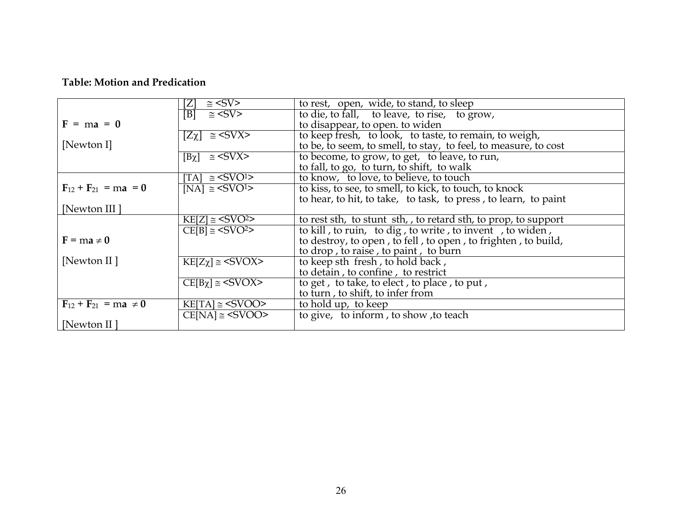## **Table: Motion and Predication**

|                               | $\approx$ <sv></sv>                    | to rest, open, wide, to stand, to sleep                                                     |
|-------------------------------|----------------------------------------|---------------------------------------------------------------------------------------------|
|                               | $\overline{B}$ = <sv></sv>             | to die, to fall, to leave, to rise, to grow,                                                |
| $F = ma = 0$                  |                                        | to disappear, to open. to widen                                                             |
|                               | $[Z\chi] \equiv \sqrt{\text{SVX}}$     | to keep fresh, to look, to taste, to remain, to weigh,                                      |
| [Newton I]                    |                                        | to be, to seem, to smell, to stay, to feel, to measure, to cost                             |
|                               | $[B\chi] \cong \sqrt{\text{SVX}}$      |                                                                                             |
|                               |                                        | to become, to grow, to get, to leave, to run,<br>to fall, to go, to turn, to shift, to walk |
|                               | $\text{[TA]} \cong \text{SSVO}^{1}$    | to know, to love, to believe, to touch                                                      |
| $F_{12} + F_{21} = ma = 0$    | [NA] $\cong$ <svo<sup>1&gt;</svo<sup>  | to kiss, to see, to smell, to kick, to touch, to knock                                      |
|                               |                                        | to hear, to hit, to take, to task, to press, to learn, to paint                             |
| [Newton III]                  |                                        |                                                                                             |
|                               | $KE[Z] \cong \langle SVO^2 \rangle$    | to rest sth, to stunt sth, to retard sth, to prop, to support                               |
|                               | $CE[B] \cong \langle SVO^2 \rangle$    | to kill, to ruin, to dig, to write, to invent, to widen,                                    |
| $F = ma \neq 0$               |                                        | to destroy, to open, to fell, to open, to frighten, to build,                               |
|                               |                                        | to drop, to raise, to paint, to burn                                                        |
| [Newton II]                   | $KE[Z\chi] \cong \langle SVOX \rangle$ | to keep sth fresh, to hold back,                                                            |
|                               |                                        | to detain, to confine, to restrict                                                          |
|                               | $CE[B\chi] \cong \langle SVOX \rangle$ | to get, to take, to elect, to place, to put,                                                |
|                               |                                        | to turn, to shift, to infer from                                                            |
| $F_{12} + F_{21} = ma \neq 0$ | $KE[TA] \cong \langle SVOO \rangle$    | to hold up, to keep                                                                         |
|                               | $CE[NA] \cong \langle SVOO \rangle$    | to give, to inform, to show, to teach                                                       |
| [Newton II]                   |                                        |                                                                                             |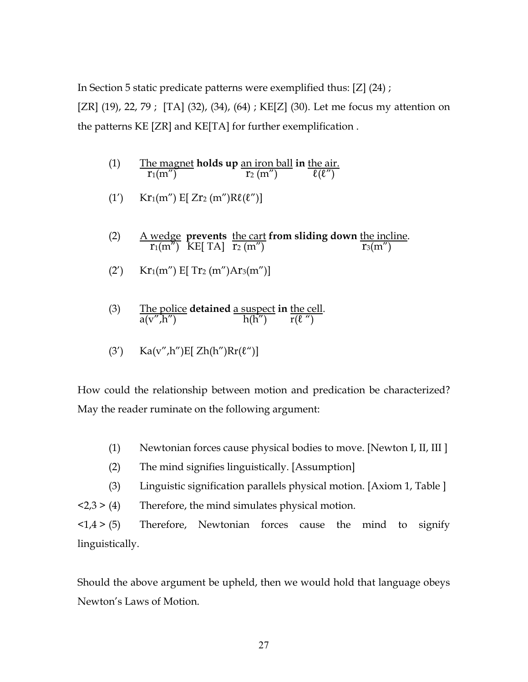In Section 5 static predicate patterns were exemplified thus: [Z] (24) ;

[ZR]  $(19)$ , 22, 79; [TA]  $(32)$ ,  $(34)$ ,  $(64)$ ; KE[Z]  $(30)$ . Let me focus my attention on the patterns KE [ZR] and KE[TA] for further exemplification .

- (1) The magnet **holds up** an iron ball **in** the air.  $\overline{r_1(m'')}$   $\overline{r_2(m'')}$   $\overline{\ell(\ell'')}$
- (1')  $Kr_1(m'') E[Zr_2(m'')R\ell(\ell'')]$
- (2) A wedge **prevents** the cart **from sliding down** the incline.  $r_1(m'')$  KE[ TA]  $r_2(m'')$   $r_3(m'')$
- $(Y)$  Kr<sub>1</sub>(m'') E[ Tr<sub>2</sub> (m'')Ar<sub>3</sub>(m'')]
- (3) The police **detained** a suspect **in** the cell.  $a(v'',h'')$  h(h")  $r(\ell'')$

$$
(3') \qquad Ka(v'',h'')E[ Zh(h'')Rr(\ell'')]
$$

How could the relationship between motion and predication be characterized? May the reader ruminate on the following argument:

- (1) Newtonian forces cause physical bodies to move. [Newton I, II, III ]
- (2) The mind signifies linguistically. [Assumption]
- (3) Linguistic signification parallels physical motion. [Axiom 1, Table ]

 $\langle 2,3 \rangle$  (4) Therefore, the mind simulates physical motion.

 $\langle 1,4 \rangle$  (5) Therefore, Newtonian forces cause the mind to signify linguistically.

Should the above argument be upheld, then we would hold that language obeys Newton's Laws of Motion.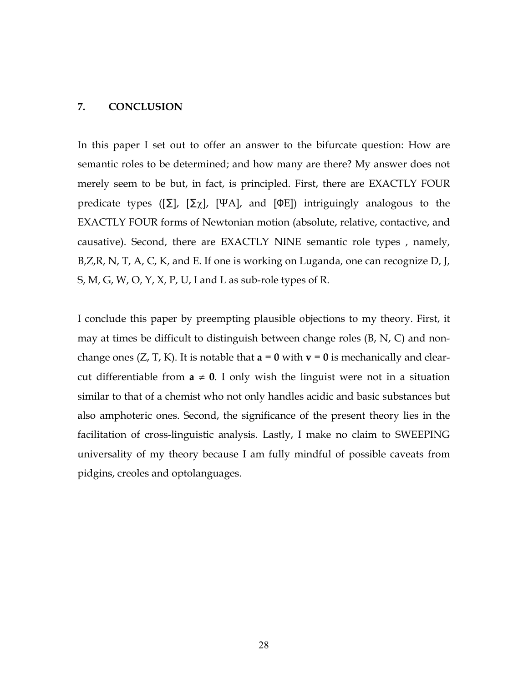#### **7. CONCLUSION**

In this paper I set out to offer an answer to the bifurcate question: How are semantic roles to be determined; and how many are there? My answer does not merely seem to be but, in fact, is principled. First, there are EXACTLY FOUR predicate types ( $[\Sigma]$ ,  $[\Sigma_{\chi}]$ ,  $[\Psi A]$ , and  $[\Phi E]$ ) intriguingly analogous to the EXACTLY FOUR forms of Newtonian motion (absolute, relative, contactive, and causative). Second, there are EXACTLY NINE semantic role types , namely, B, Z, R, N, T, A, C, K, and E. If one is working on Luganda, one can recognize D, J, S, M, G, W, O, Y, X, P, U, I and L as sub-role types of R.

I conclude this paper by preempting plausible objections to my theory. First, it may at times be difficult to distinguish between change roles (B, N, C) and nonchange ones  $(Z, T, K)$ . It is notable that  $\mathbf{a} = \mathbf{0}$  with  $\mathbf{v} = \mathbf{0}$  is mechanically and clearcut differentiable from  $a \neq 0$ . I only wish the linguist were not in a situation similar to that of a chemist who not only handles acidic and basic substances but also amphoteric ones. Second, the significance of the present theory lies in the facilitation of cross-linguistic analysis. Lastly, I make no claim to SWEEPING universality of my theory because I am fully mindful of possible caveats from pidgins, creoles and optolanguages.